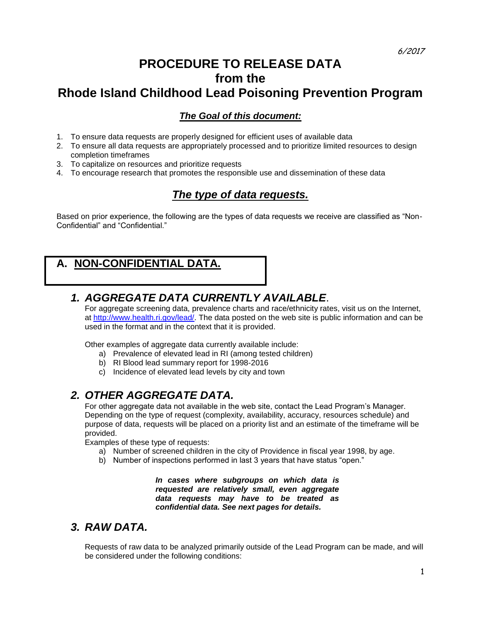## **PROCEDURE TO RELEASE DATA from the Rhode Island Childhood Lead Poisoning Prevention Program**

#### *The Goal of this document:*

- 1. To ensure data requests are properly designed for efficient uses of available data
- 2. To ensure all data requests are appropriately processed and to prioritize limited resources to design completion timeframes
- 3. To capitalize on resources and prioritize requests
- 4. To encourage research that promotes the responsible use and dissemination of these data

#### *The type of data requests.*

Based on prior experience, the following are the types of data requests we receive are classified as "Non-Confidential" and "Confidential."

## **A. NON-CONFIDENTIAL DATA.**

#### *1. AGGREGATE DATA CURRENTLY AVAILABLE*.

For aggregate screening data, prevalence charts and race/ethnicity rates, visit us on the Internet, at [http://www.health.ri.gov/lead/.](http://www.healthri.org/family/lead/leadhome.htm) The data posted on the web site is public information and can be used in the format and in the context that it is provided.

Other examples of aggregate data currently available include:

- a) Prevalence of elevated lead in RI (among tested children)
- b) RI Blood lead summary report for 1998-2016
- c) Incidence of elevated lead levels by city and town

#### *2. OTHER AGGREGATE DATA.*

For other aggregate data not available in the web site, contact the Lead Program's Manager. Depending on the type of request (complexity, availability, accuracy, resources schedule) and purpose of data, requests will be placed on a priority list and an estimate of the timeframe will be provided.

Examples of these type of requests:

- a) Number of screened children in the city of Providence in fiscal year 1998, by age.
- b) Number of inspections performed in last 3 years that have status "open."

*In cases where subgroups on which data is requested are relatively small, even aggregate data requests may have to be treated as confidential data. See next pages for details.*

#### *3. RAW DATA.*

Requests of raw data to be analyzed primarily outside of the Lead Program can be made, and will be considered under the following conditions: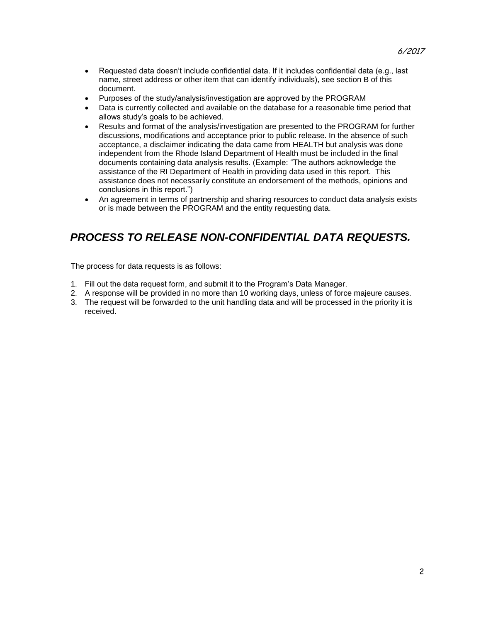- Requested data doesn't include confidential data. If it includes confidential data (e.g., last name, street address or other item that can identify individuals), see section B of this document.
- Purposes of the study/analysis/investigation are approved by the PROGRAM
- Data is currently collected and available on the database for a reasonable time period that allows study's goals to be achieved.
- Results and format of the analysis/investigation are presented to the PROGRAM for further discussions, modifications and acceptance prior to public release. In the absence of such acceptance, a disclaimer indicating the data came from HEALTH but analysis was done independent from the Rhode Island Department of Health must be included in the final documents containing data analysis results. (Example: "The authors acknowledge the assistance of the RI Department of Health in providing data used in this report. This assistance does not necessarily constitute an endorsement of the methods, opinions and conclusions in this report.")
- An agreement in terms of partnership and sharing resources to conduct data analysis exists or is made between the PROGRAM and the entity requesting data.

## *PROCESS TO RELEASE NON-CONFIDENTIAL DATA REQUESTS.*

The process for data requests is as follows:

- 1. Fill out the data request form, and submit it to the Program's Data Manager.
- 2. A response will be provided in no more than 10 working days, unless of force majeure causes.
- 3. The request will be forwarded to the unit handling data and will be processed in the priority it is received.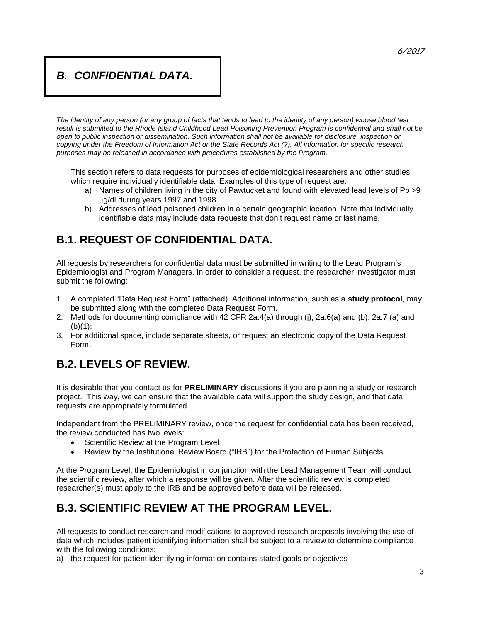#### *B. CONFIDENTIAL DATA.*

*The identity of any person (or any group of facts that tends to lead to the identity of any person) whose blood test*  result is submitted to the Rhode Island Childhood Lead Poisoning Prevention Program is confidential and shall not be *open to public inspection or dissemination. Such information shall not be available for disclosure, inspection or copying under the Freedom of Information Act or the State Records Act (?). All information for specific research purposes may be released in accordance with procedures established by the Program.* 

This section refers to data requests for purposes of epidemiological researchers and other studies, which require individually identifiable data. Examples of this type of request are:

- a) Names of children living in the city of Pawtucket and found with elevated lead levels of Pb >9 g/dl during years 1997 and 1998.
- b) Addresses of lead poisoned children in a certain geographic location. Note that individually identifiable data may include data requests that don't request name or last name.

## **B.1. REQUEST OF CONFIDENTIAL DATA.**

All requests by researchers for confidential data must be submitted in writing to the Lead Program's Epidemiologist and Program Managers. In order to consider a request, the researcher investigator must submit the following:

- 1. A completed "Data Request Form" (attached). Additional information, such as a **study protocol**, may be submitted along with the completed Data Request Form.
- 2. Methods for documenting compliance with 42 CFR 2a.4(a) through (j), 2a.6(a) and (b), 2a.7 (a) and  $(b)(1)$ ;
- 3. For additional space, include separate sheets, or request an electronic copy of the Data Request Form.

## **B.2. LEVELS OF REVIEW.**

It is desirable that you contact us for **PRELIMINARY** discussions if you are planning a study or research project. This way, we can ensure that the available data will support the study design, and that data requests are appropriately formulated.

Independent from the PRELIMINARY review, once the request for confidential data has been received, the review conducted has two levels:

- Scientific Review at the Program Level
- Review by the Institutional Review Board ("IRB") for the Protection of Human Subjects

At the Program Level, the Epidemiologist in conjunction with the Lead Management Team will conduct the scientific review, after which a response will be given. After the scientific review is completed, researcher(s) must apply to the IRB and be approved before data will be released.

## **B.3. SCIENTIFIC REVIEW AT THE PROGRAM LEVEL.**

All requests to conduct research and modifications to approved research proposals involving the use of data which includes patient identifying information shall be subject to a review to determine compliance with the following conditions:

a) the request for patient identifying information contains stated goals or objectives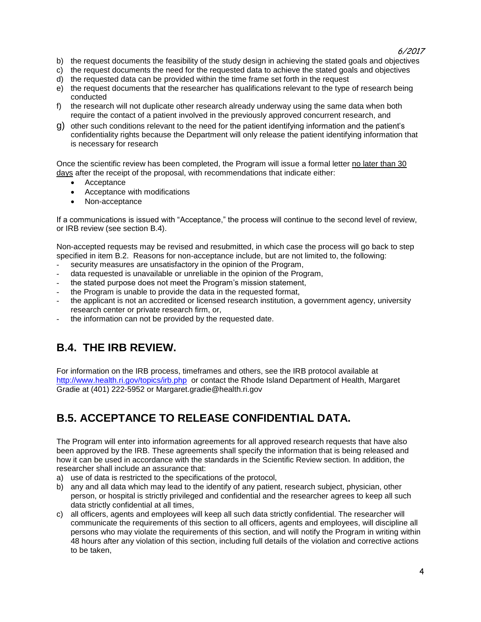6/2017

- b) the request documents the feasibility of the study design in achieving the stated goals and objectives
- c) the request documents the need for the requested data to achieve the stated goals and objectives
- d) the requested data can be provided within the time frame set forth in the request
- e) the request documents that the researcher has qualifications relevant to the type of research being conducted
- f) the research will not duplicate other research already underway using the same data when both require the contact of a patient involved in the previously approved concurrent research, and
- g) other such conditions relevant to the need for the patient identifying information and the patient's confidentiality rights because the Department will only release the patient identifying information that is necessary for research

Once the scientific review has been completed, the Program will issue a formal letter no later than 30 days after the receipt of the proposal, with recommendations that indicate either:

- Acceptance
- Acceptance with modifications
- Non-acceptance

If a communications is issued with "Acceptance," the process will continue to the second level of review, or IRB review (see section B.4).

Non-accepted requests may be revised and resubmitted, in which case the process will go back to step specified in item B.2. Reasons for non-acceptance include, but are not limited to, the following:

- security measures are unsatisfactory in the opinion of the Program,
- data requested is unavailable or unreliable in the opinion of the Program,
- the stated purpose does not meet the Program's mission statement,
- the Program is unable to provide the data in the requested format,
- the applicant is not an accredited or licensed research institution, a government agency, university research center or private research firm, or,
- the information can not be provided by the requested date.

## **B.4. THE IRB REVIEW.**

For information on the IRB process, timeframes and others, see the IRB protocol available at [http://www.health.ri.gov/topics/irb.php](http://www.health.state.ri.us/irb.htm) or contact the Rhode Island Department of Health, Margaret Gradie at (401) 222-5952 or Margaret.gradie@health.ri.gov

## **B.5. ACCEPTANCE TO RELEASE CONFIDENTIAL DATA.**

The Program will enter into information agreements for all approved research requests that have also been approved by the IRB. These agreements shall specify the information that is being released and how it can be used in accordance with the standards in the Scientific Review section. In addition, the researcher shall include an assurance that:

- a) use of data is restricted to the specifications of the protocol,
- b) any and all data which may lead to the identify of any patient, research subject, physician, other person, or hospital is strictly privileged and confidential and the researcher agrees to keep all such data strictly confidential at all times,
- c) all officers, agents and employees will keep all such data strictly confidential. The researcher will communicate the requirements of this section to all officers, agents and employees, will discipline all persons who may violate the requirements of this section, and will notify the Program in writing within 48 hours after any violation of this section, including full details of the violation and corrective actions to be taken,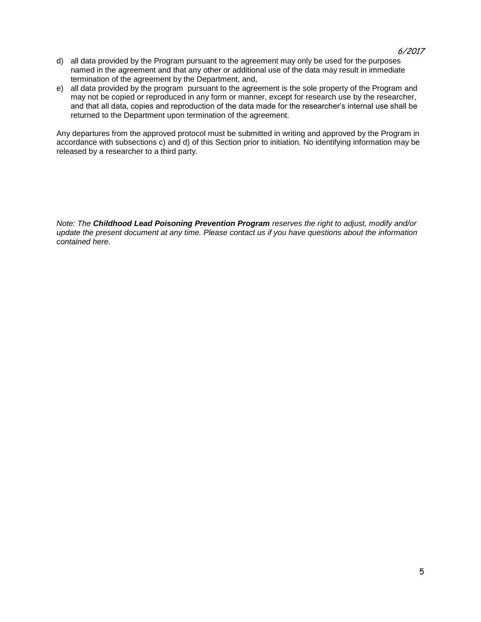- d) all data provided by the Program pursuant to the agreement may only be used for the purposes named in the agreement and that any other or additional use of the data may result in immediate termination of the agreement by the Department, and,
- e) all data provided by the program pursuant to the agreement is the sole property of the Program and may not be copied or reproduced in any form or manner, except for research use by the researcher, and that all data, copies and reproduction of the data made for the researcher's internal use shall be returned to the Department upon termination of the agreement.

Any departures from the approved protocol must be submitted in writing and approved by the Program in accordance with subsections c) and d) of this Section prior to initiation. No identifying information may be released by a researcher to a third party.

*Note: The Childhood Lead Poisoning Prevention Program reserves the right to adjust, modify and/or update the present document at any time. Please contact us if you have questions about the information contained here.*

#### 6/2017